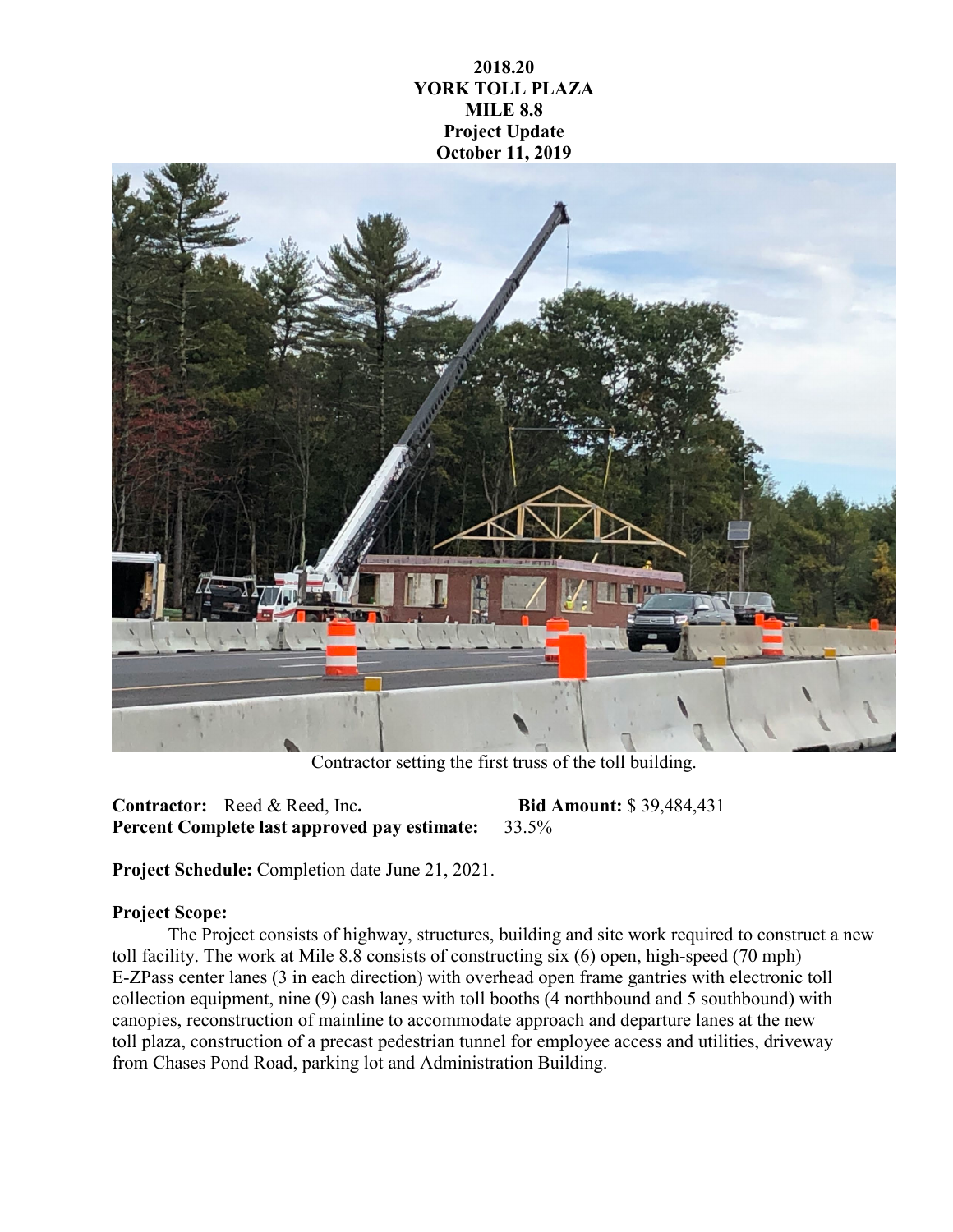**2018.20 YORK TOLL PLAZA MILE 8.8 Project Update October 11, 2019**



Contractor setting the first truss of the toll building.

**Contractor:** Reed & Reed, Inc**. Bid Amount:** \$ 39,484,431 **Percent Complete last approved pay estimate:** 33.5%

**Project Schedule:** Completion date June 21, 2021.

## **Project Scope:**

The Project consists of highway, structures, building and site work required to construct a new toll facility. The work at Mile 8.8 consists of constructing six (6) open, high-speed (70 mph) E-ZPass center lanes (3 in each direction) with overhead open frame gantries with electronic toll collection equipment, nine (9) cash lanes with toll booths (4 northbound and 5 southbound) with canopies, reconstruction of mainline to accommodate approach and departure lanes at the new toll plaza, construction of a precast pedestrian tunnel for employee access and utilities, driveway from Chases Pond Road, parking lot and Administration Building.